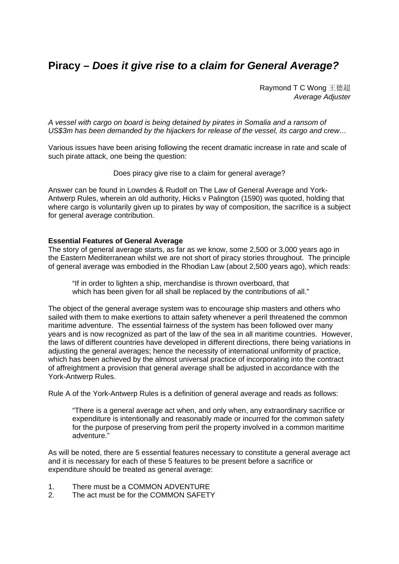# **Piracy –** *Does it give rise to a claim for General Average?*

Raymond T C Wong 王德超 *Average Adjuster* 

*A vessel with cargo on board is being detained by pirates in Somalia and a ransom of US\$3m has been demanded by the hijackers for release of the vessel, its cargo and crew…* 

Various issues have been arising following the recent dramatic increase in rate and scale of such pirate attack, one being the question:

Does piracy give rise to a claim for general average?

Answer can be found in Lowndes & Rudolf on The Law of General Average and York-Antwerp Rules, wherein an old authority, Hicks v Palington (1590) was quoted, holding that where cargo is voluntarily given up to pirates by way of composition, the sacrifice is a subject for general average contribution.

### **Essential Features of General Average**

The story of general average starts, as far as we know, some 2,500 or 3,000 years ago in the Eastern Mediterranean whilst we are not short of piracy stories throughout. The principle of general average was embodied in the Rhodian Law (about 2,500 years ago), which reads:

"If in order to lighten a ship, merchandise is thrown overboard, that which has been given for all shall be replaced by the contributions of all."

The object of the general average system was to encourage ship masters and others who sailed with them to make exertions to attain safety whenever a peril threatened the common maritime adventure. The essential fairness of the system has been followed over many years and is now recognized as part of the law of the sea in all maritime countries. However, the laws of different countries have developed in different directions, there being variations in adjusting the general averages; hence the necessity of international uniformity of practice, which has been achieved by the almost universal practice of incorporating into the contract of affreightment a provision that general average shall be adjusted in accordance with the York-Antwerp Rules.

Rule A of the York-Antwerp Rules is a definition of general average and reads as follows:

"There is a general average act when, and only when, any extraordinary sacrifice or expenditure is intentionally and reasonably made or incurred for the common safety for the purpose of preserving from peril the property involved in a common maritime adventure."

As will be noted, there are 5 essential features necessary to constitute a general average act and it is necessary for each of these 5 features to be present before a sacrifice or expenditure should be treated as general average:

- 1. There must be a COMMON ADVENTURE
- 2. The act must be for the COMMON SAFETY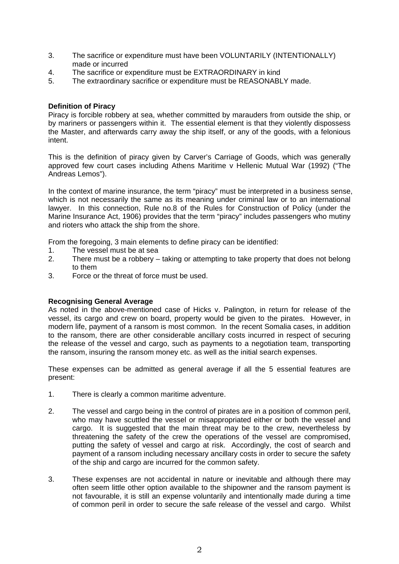- 3. The sacrifice or expenditure must have been VOLUNTARILY (INTENTIONALLY) made or incurred
- 4. The sacrifice or expenditure must be EXTRAORDINARY in kind
- 5. The extraordinary sacrifice or expenditure must be REASONABLY made.

## **Definition of Piracy**

Piracy is forcible robbery at sea, whether committed by marauders from outside the ship, or by mariners or passengers within it. The essential element is that they violently dispossess the Master, and afterwards carry away the ship itself, or any of the goods, with a felonious intent.

This is the definition of piracy given by Carver's Carriage of Goods, which was generally approved few court cases including Athens Maritime v Hellenic Mutual War (1992) ("The Andreas Lemos").

In the context of marine insurance, the term "piracy" must be interpreted in a business sense, which is not necessarily the same as its meaning under criminal law or to an international lawyer. In this connection, Rule no.8 of the Rules for Construction of Policy (under the Marine Insurance Act, 1906) provides that the term "piracy" includes passengers who mutiny and rioters who attack the ship from the shore.

From the foregoing, 3 main elements to define piracy can be identified:

- 1. The vessel must be at sea
- 2. There must be a robbery taking or attempting to take property that does not belong to them
- 3. Force or the threat of force must be used.

## **Recognising General Average**

As noted in the above-mentioned case of Hicks v. Palington, in return for release of the vessel, its cargo and crew on board, property would be given to the pirates. However, in modern life, payment of a ransom is most common. In the recent Somalia cases, in addition to the ransom, there are other considerable ancillary costs incurred in respect of securing the release of the vessel and cargo, such as payments to a negotiation team, transporting the ransom, insuring the ransom money etc. as well as the initial search expenses.

These expenses can be admitted as general average if all the 5 essential features are present:

- 1. There is clearly a common maritime adventure.
- 2. The vessel and cargo being in the control of pirates are in a position of common peril, who may have scuttled the vessel or misappropriated either or both the vessel and cargo. It is suggested that the main threat may be to the crew, nevertheless by threatening the safety of the crew the operations of the vessel are compromised, putting the safety of vessel and cargo at risk. Accordingly, the cost of search and payment of a ransom including necessary ancillary costs in order to secure the safety of the ship and cargo are incurred for the common safety.
- 3. These expenses are not accidental in nature or inevitable and although there may often seem little other option available to the shipowner and the ransom payment is not favourable, it is still an expense voluntarily and intentionally made during a time of common peril in order to secure the safe release of the vessel and cargo. Whilst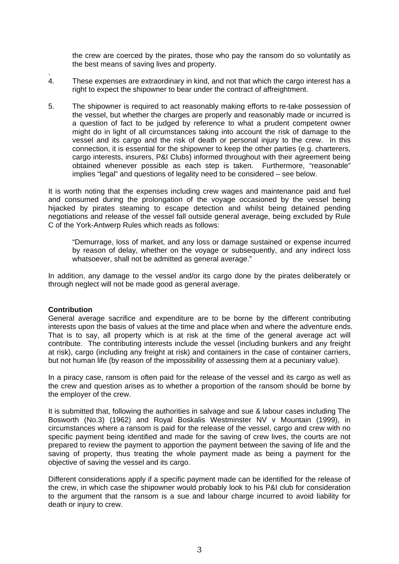the crew are coerced by the pirates, those who pay the ransom do so voluntatily as the best means of saving lives and property.

- . 4. These expenses are extraordinary in kind, and not that which the cargo interest has a right to expect the shipowner to bear under the contract of affreightment.
- 5. The shipowner is required to act reasonably making efforts to re-take possession of the vessel, but whether the charges are properly and reasonably made or incurred is a question of fact to be judged by reference to what a prudent competent owner might do in light of all circumstances taking into account the risk of damage to the vessel and its cargo and the risk of death or personal injury to the crew. In this connection, it is essential for the shipowner to keep the other parties (e.g. charterers, cargo interests, insurers, P&I Clubs) informed throughout with their agreement being obtained whenever possible as each step is taken. Furthermore, "reasonable" implies "legal" and questions of legality need to be considered – see below.

It is worth noting that the expenses including crew wages and maintenance paid and fuel and consumed during the prolongation of the voyage occasioned by the vessel being hijacked by pirates steaming to escape detection and whilst being detained pending negotiations and release of the vessel fall outside general average, being excluded by Rule C of the York-Antwerp Rules which reads as follows:

"Demurrage, loss of market, and any loss or damage sustained or expense incurred by reason of delay, whether on the voyage or subsequently, and any indirect loss whatsoever, shall not be admitted as general average."

In addition, any damage to the vessel and/or its cargo done by the pirates deliberately or through neglect will not be made good as general average.

#### **Contribution**

General average sacrifice and expenditure are to be borne by the different contributing interests upon the basis of values at the time and place when and where the adventure ends. That is to say, all property which is at risk at the time of the general average act will contribute. The contributing interests include the vessel (including bunkers and any freight at risk), cargo (including any freight at risk) and containers in the case of container carriers, but not human life (by reason of the impossibility of assessing them at a pecuniary value).

In a piracy case, ransom is often paid for the release of the vessel and its cargo as well as the crew and question arises as to whether a proportion of the ransom should be borne by the employer of the crew.

It is submitted that, following the authorities in salvage and sue & labour cases including The Bosworth (No.3) (1962) and Royal Boskalis Westminster NV v Mountain (1999), in circumstances where a ransom is paid for the release of the vessel, cargo and crew with no specific payment being identified and made for the saving of crew lives, the courts are not prepared to review the payment to apportion the payment between the saving of life and the saving of property, thus treating the whole payment made as being a payment for the objective of saving the vessel and its cargo.

Different considerations apply if a specific payment made can be identified for the release of the crew, in which case the shipowner would probably look to his P&I club for consideration to the argument that the ransom is a sue and labour charge incurred to avoid liability for death or injury to crew.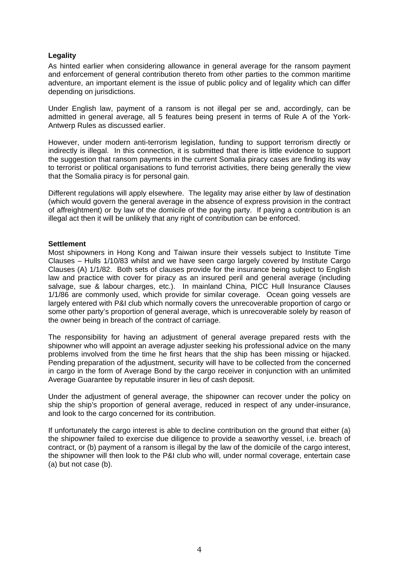## **Legality**

As hinted earlier when considering allowance in general average for the ransom payment and enforcement of general contribution thereto from other parties to the common maritime adventure, an important element is the issue of public policy and of legality which can differ depending on jurisdictions.

Under English law, payment of a ransom is not illegal per se and, accordingly, can be admitted in general average, all 5 features being present in terms of Rule A of the York-Antwerp Rules as discussed earlier.

However, under modern anti-terrorism legislation, funding to support terrorism directly or indirectly is illegal. In this connection, it is submitted that there is little evidence to support the suggestion that ransom payments in the current Somalia piracy cases are finding its way to terrorist or political organisations to fund terrorist activities, there being generally the view that the Somalia piracy is for personal gain.

Different regulations will apply elsewhere. The legality may arise either by law of destination (which would govern the general average in the absence of express provision in the contract of affreightment) or by law of the domicile of the paying party. If paying a contribution is an illegal act then it will be unlikely that any right of contribution can be enforced.

#### **Settlement**

Most shipowners in Hong Kong and Taiwan insure their vessels subject to Institute Time Clauses – Hulls 1/10/83 whilst and we have seen cargo largely covered by Institute Cargo Clauses (A) 1/1/82. Both sets of clauses provide for the insurance being subject to English law and practice with cover for piracy as an insured peril and general average (including salvage, sue & labour charges, etc.). In mainland China, PICC Hull Insurance Clauses 1/1/86 are commonly used, which provide for similar coverage. Ocean going vessels are largely entered with P&I club which normally covers the unrecoverable proportion of cargo or some other party's proportion of general average, which is unrecoverable solely by reason of the owner being in breach of the contract of carriage.

The responsibility for having an adjustment of general average prepared rests with the shipowner who will appoint an average adjuster seeking his professional advice on the many problems involved from the time he first hears that the ship has been missing or hijacked. Pending preparation of the adjustment, security will have to be collected from the concerned in cargo in the form of Average Bond by the cargo receiver in conjunction with an unlimited Average Guarantee by reputable insurer in lieu of cash deposit.

Under the adjustment of general average, the shipowner can recover under the policy on ship the ship's proportion of general average, reduced in respect of any under-insurance, and look to the cargo concerned for its contribution.

If unfortunately the cargo interest is able to decline contribution on the ground that either (a) the shipowner failed to exercise due diligence to provide a seaworthy vessel, i.e. breach of contract, or (b) payment of a ransom is illegal by the law of the domicile of the cargo interest, the shipowner will then look to the P&I club who will, under normal coverage, entertain case (a) but not case (b).